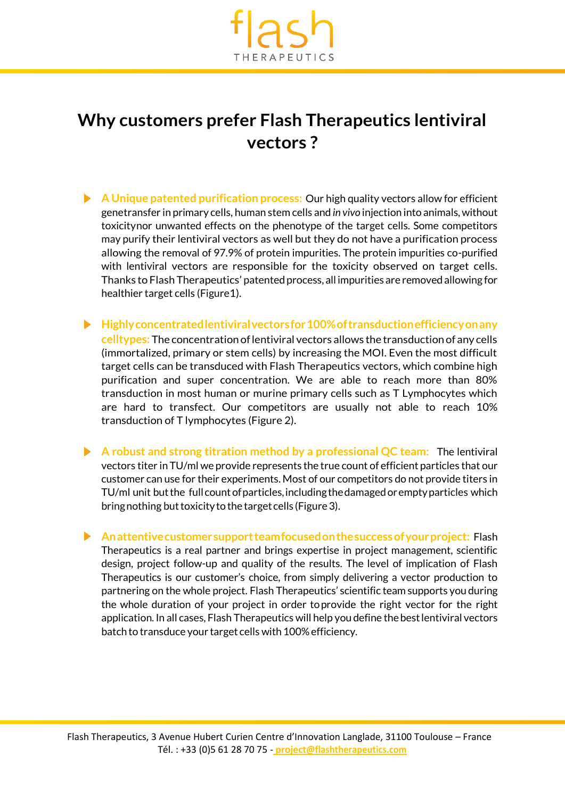

## **Why customers prefer Flash Therapeutics lentiviral vectors ?**

- **A Unique patented purification process:** Our high quality vectors allow for efficient genetransfer in primary cells, human stem cells and *in vivo* injection into animals,without toxicitynor unwanted effects on the phenotype of the target cells. Some competitors may purify their lentiviral vectors as well but they do not have a purification process allowing the removal of 97.9% of protein impurities. The protein impurities co-purified with lentiviral vectors are responsible for the toxicity observed on target cells. Thanks to Flash Therapeutics' patented process, all impurities are removed allowing for healthier target cells (Figure1).
- **Highlyconcentratedlentiviralvectorsfor100%oftransductionefficiencyonany celltypes:** The concentration of lentiviral vectors allows the transduction of any cells (immortalized, primary or stem cells) by increasing the MOI. Even the most difficult target cells can be transduced with Flash Therapeutics vectors, which combine high purification and super concentration. We are able to reach more than 80% transduction in most human or murine primary cells such as T Lymphocytes which are hard to transfect. Our competitors are usually not able to reach 10% transduction of T lymphocytes (Figure 2).
- **A robust and strong titration method by a professional QC team:** The lentiviral vectors titer in TU/ml we provide represents the true count of efficient particles that our customer can use for their experiments. Most of our competitors do not provide titers in TU/ml unit butthe full countofparticles,includingthedamagedoremptyparticles which bring nothing but toxicity to the target cells (Figure 3).
- **Anattentivecustomersupportteamfocusedonthesuccessofyourproject:** Flash Therapeutics is a real partner and brings expertise in project management, scientific design, project follow-up and quality of the results. The level of implication of Flash Therapeutics is our customer's choice, from simply delivering a vector production to partnering on the whole project. Flash Therapeutics' scientific team supports you during the whole duration of your project in order toprovide the right vector for the right application. In all cases, Flash Therapeutics will help you define the best lentiviral vectors batch to transduce your target cells with 100% efficiency.